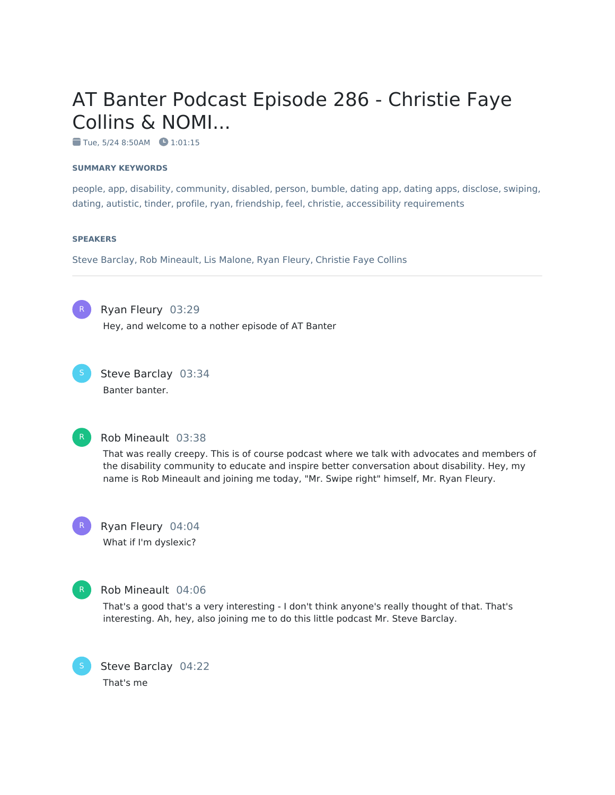# AT Banter Podcast Episode 286 - Christie Faye Collins & NOMI...

 $\bullet$  Tue, 5/24 8:50AM  $\bullet$  1:01:15

#### **SUMMARY KEYWORDS**

people, app, disability, community, disabled, person, bumble, dating app, dating apps, disclose, swiping, dating, autistic, tinder, profile, ryan, friendship, feel, christie, accessibility requirements

#### **SPEAKERS**

Steve Barclay, Rob Mineault, Lis Malone, Ryan Fleury, Christie Faye Collins

R

Ryan Fleury 03:29

Hey, and welcome to a nother episode of AT Banter



Steve Barclay 03:34 Banter banter.



### Rob Mineault 03:38

That was really creepy. This is of course podcast where we talk with advocates and members of the disability community to educate and inspire better conversation about disability. Hey, my name is Rob Mineault and joining me today, "Mr. Swipe right" himself, Mr. Ryan Fleury.



Ryan Fleury 04:04 What if I'm dyslexic?



#### Rob Mineault 04:06

That's a good that's a very interesting - I don't think anyone's really thought of that. That's interesting. Ah, hey, also joining me to do this little podcast Mr. Steve Barclay.

Steve Barclay 04:22 That's me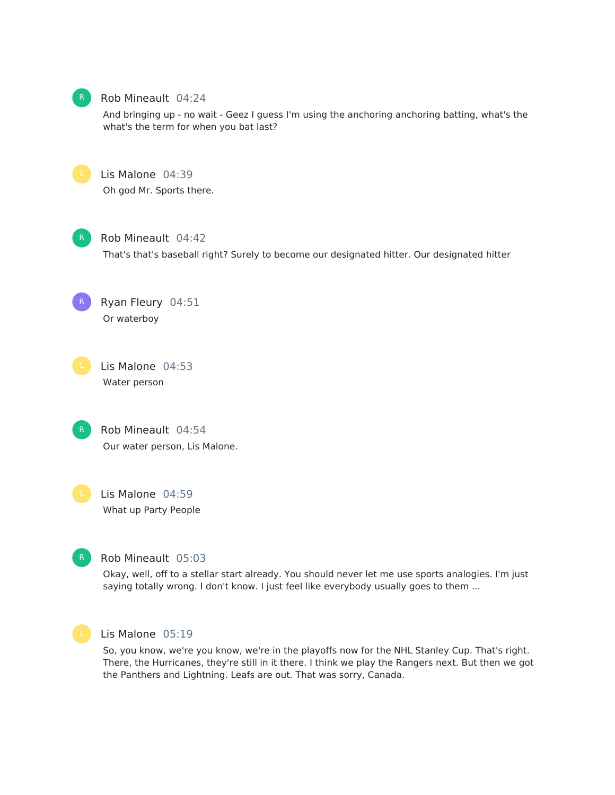

#### Rob Mineault 04:24

And bringing up - no wait - Geez I guess I'm using the anchoring anchoring batting, what's the what's the term for when you bat last?



# Lis Malone 04:39

Oh god Mr. Sports there.



R

#### Rob Mineault 04:42

That's that's baseball right? Surely to become our designated hitter. Our designated hitter

Ryan Fleury 04:51 Or waterboy

Lis Malone 04:53 Water person



Rob Mineault 04:54 Our water person, Lis Malone.

Lis Malone 04:59 What up Party People



# Rob Mineault 05:03

Okay, well, off to a stellar start already. You should never let me use sports analogies. I'm just saying totally wrong. I don't know. I just feel like everybody usually goes to them ...



#### Lis Malone 05:19

So, you know, we're you know, we're in the playoffs now for the NHL Stanley Cup. That's right. There, the Hurricanes, they're still in it there. I think we play the Rangers next. But then we got the Panthers and Lightning. Leafs are out. That was sorry, Canada.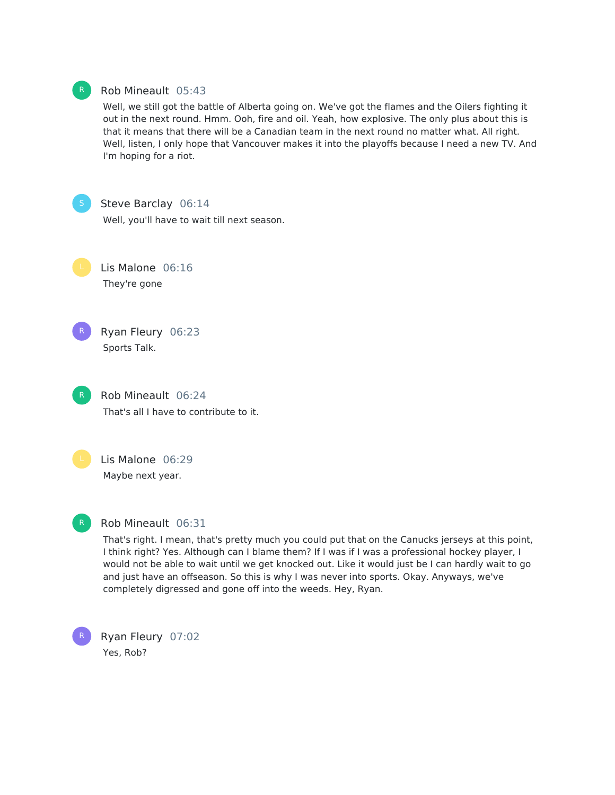

#### Rob Mineault 05:43

Well, we still got the battle of Alberta going on. We've got the flames and the Oilers fighting it out in the next round. Hmm. Ooh, fire and oil. Yeah, how explosive. The only plus about this is that it means that there will be a Canadian team in the next round no matter what. All right. Well, listen, I only hope that Vancouver makes it into the playoffs because I need a new TV. And I'm hoping for a riot.

Steve Barclay 06:14

Well, you'll have to wait till next season.

Lis Malone 06:16 They're gone

Ryan Fleury 06:23 Sports Talk. R

> Rob Mineault 06:24 That's all I have to contribute to it.



Lis Malone 06:29 Maybe next year.



### Rob Mineault 06:31

That's right. I mean, that's pretty much you could put that on the Canucks jerseys at this point, I think right? Yes. Although can I blame them? If I was if I was a professional hockey player, I would not be able to wait until we get knocked out. Like it would just be I can hardly wait to go and just have an offseason. So this is why I was never into sports. Okay. Anyways, we've completely digressed and gone off into the weeds. Hey, Ryan.

Ryan Fleury 07:02 Yes, Rob? R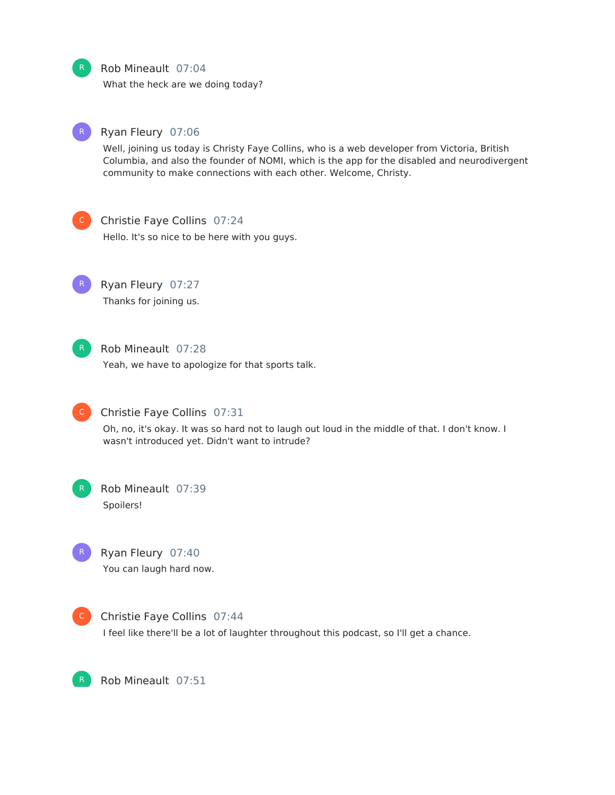Rob Mineault 07:04

What the heck are we doing today?



#### Ryan Fleury 07:06

Well, joining us today is Christy Faye Collins, who is a web developer from Victoria, British Columbia, and also the founder of NOMI, which is the app for the disabled and neurodivergent community to make connections with each other. Welcome, Christy.



#### Christie Faye Collins 07:24

Hello. It's so nice to be here with you guys.



# Ryan Fleury 07:27

Thanks for joining us.



# Rob Mineault 07:28

Yeah, we have to apologize for that sports talk.



# Christie Faye Collins 07:31

Oh, no, it's okay. It was so hard not to laugh out loud in the middle of that. I don't know. I wasn't introduced yet. Didn't want to intrude?



# Rob Mineault 07:39 Spoilers!



Ryan Fleury 07:40 You can laugh hard now.



Christie Faye Collins 07:44

I feel like there'll be a lot of laughter throughout this podcast, so I'll get a chance.



Rob Mineault 07:51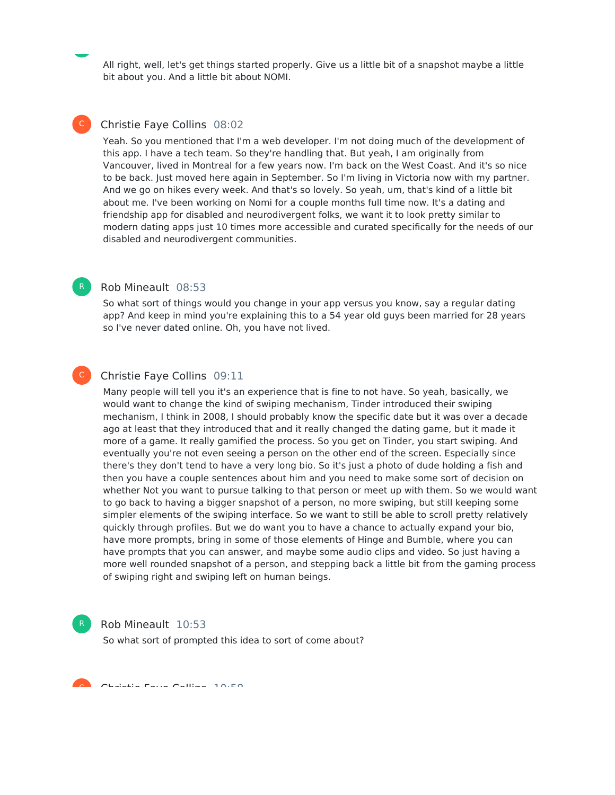All right, well, let's get things started properly. Give us a little bit of a snapshot maybe a little bit about you. And a little bit about NOMI.

### Christie Faye Collins 08:02

Yeah. So you mentioned that I'm a web developer. I'm not doing much of the development of this app. I have a tech team. So they're handling that. But yeah, I am originally from Vancouver, lived in Montreal for a few years now. I'm back on the West Coast. And it's so nice to be back. Just moved here again in September. So I'm living in Victoria now with my partner. And we go on hikes every week. And that's so lovely. So yeah, um, that's kind of a little bit about me. I've been working on Nomi for a couple months full time now. It's a dating and friendship app for disabled and neurodivergent folks, we want it to look pretty similar to modern dating apps just 10 times more accessible and curated specifically for the needs of our disabled and neurodivergent communities.

# Rob Mineault 08:53

So what sort of things would you change in your app versus you know, say a regular dating app? And keep in mind you're explaining this to a 54 year old guys been married for 28 years so I've never dated online. Oh, you have not lived.

#### Christie Faye Collins 09:11  $\mathsf{C}^-$

Many people will tell you it's an experience that is fine to not have. So yeah, basically, we would want to change the kind of swiping mechanism, Tinder introduced their swiping mechanism, I think in 2008, I should probably know the specific date but it was over a decade ago at least that they introduced that and it really changed the dating game, but it made it more of a game. It really gamified the process. So you get on Tinder, you start swiping. And eventually you're not even seeing a person on the other end of the screen. Especially since there's they don't tend to have a very long bio. So it's just a photo of dude holding a fish and then you have a couple sentences about him and you need to make some sort of decision on whether Not you want to pursue talking to that person or meet up with them. So we would want to go back to having a bigger snapshot of a person, no more swiping, but still keeping some simpler elements of the swiping interface. So we want to still be able to scroll pretty relatively quickly through profiles. But we do want you to have a chance to actually expand your bio, have more prompts, bring in some of those elements of Hinge and Bumble, where you can have prompts that you can answer, and maybe some audio clips and video. So just having a more well rounded snapshot of a person, and stepping back a little bit from the gaming process of swiping right and swiping left on human beings.



#### Rob Mineault 10:53

So what sort of prompted this idea to sort of come about?

Christian Faye Collins 10:58<br>Christian Fayer



 $\mathsf{C}^-$ 

R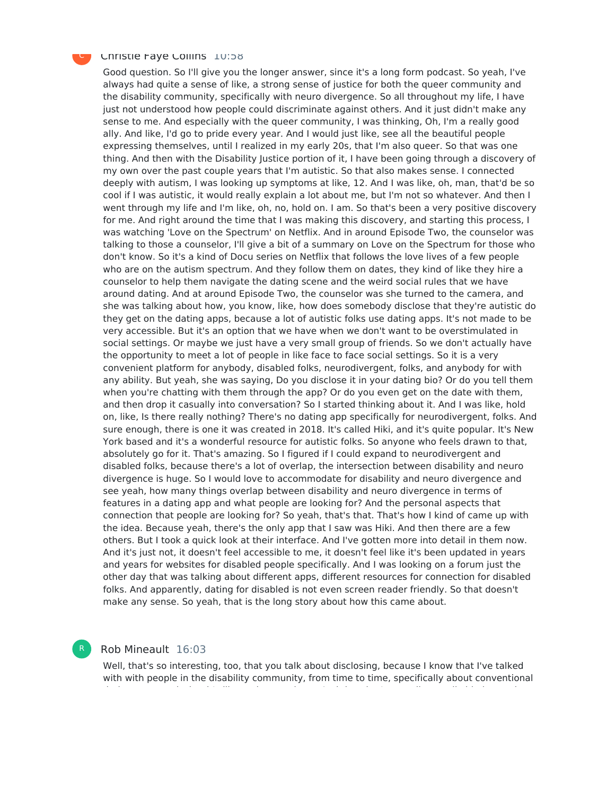#### Christie Faye Collins 10:58

Good question. So I'll give you the longer answer, since it's a long form podcast. So yeah, I've always had quite a sense of like, a strong sense of justice for both the queer community and the disability community, specifically with neuro divergence. So all throughout my life, I have just not understood how people could discriminate against others. And it just didn't make any sense to me. And especially with the queer community, I was thinking, Oh, I'm a really good ally. And like, I'd go to pride every year. And I would just like, see all the beautiful people expressing themselves, until I realized in my early 20s, that I'm also queer. So that was one thing. And then with the Disability Justice portion of it, I have been going through a discovery of my own over the past couple years that I'm autistic. So that also makes sense. I connected deeply with autism, I was looking up symptoms at like, 12. And I was like, oh, man, that'd be so cool if I was autistic, it would really explain a lot about me, but I'm not so whatever. And then I went through my life and I'm like, oh, no, hold on. I am. So that's been a very positive discovery for me. And right around the time that I was making this discovery, and starting this process, I was watching 'Love on the Spectrum' on Netflix. And in around Episode Two, the counselor was talking to those a counselor, I'll give a bit of a summary on Love on the Spectrum for those who don't know. So it's a kind of Docu series on Netflix that follows the love lives of a few people who are on the autism spectrum. And they follow them on dates, they kind of like they hire a counselor to help them navigate the dating scene and the weird social rules that we have around dating. And at around Episode Two, the counselor was she turned to the camera, and she was talking about how, you know, like, how does somebody disclose that they're autistic do they get on the dating apps, because a lot of autistic folks use dating apps. It's not made to be very accessible. But it's an option that we have when we don't want to be overstimulated in social settings. Or maybe we just have a very small group of friends. So we don't actually have the opportunity to meet a lot of people in like face to face social settings. So it is a very convenient platform for anybody, disabled folks, neurodivergent, folks, and anybody for with any ability. But yeah, she was saying, Do you disclose it in your dating bio? Or do you tell them when you're chatting with them through the app? Or do you even get on the date with them, and then drop it casually into conversation? So I started thinking about it. And I was like, hold on, like, Is there really nothing? There's no dating app specifically for neurodivergent, folks. And sure enough, there is one it was created in 2018. It's called Hiki, and it's quite popular. It's New York based and it's a wonderful resource for autistic folks. So anyone who feels drawn to that, absolutely go for it. That's amazing. So I figured if I could expand to neurodivergent and disabled folks, because there's a lot of overlap, the intersection between disability and neuro divergence is huge. So I would love to accommodate for disability and neuro divergence and see yeah, how many things overlap between disability and neuro divergence in terms of features in a dating app and what people are looking for? And the personal aspects that connection that people are looking for? So yeah, that's that. That's how I kind of came up with the idea. Because yeah, there's the only app that I saw was Hiki. And then there are a few others. But I took a quick look at their interface. And I've gotten more into detail in them now. And it's just not, it doesn't feel accessible to me, it doesn't feel like it's been updated in years and years for websites for disabled people specifically. And I was looking on a forum just the other day that was talking about different apps, different resources for connection for disabled folks. And apparently, dating for disabled is not even screen reader friendly. So that doesn't make any sense. So yeah, that is the long story about how this came about.

#### Rob Mineault 16:03

R

Well, that's so interesting, too, that you talk about disclosing, because I know that I've talked with with people in the disability community, from time to time, specifically about conventional

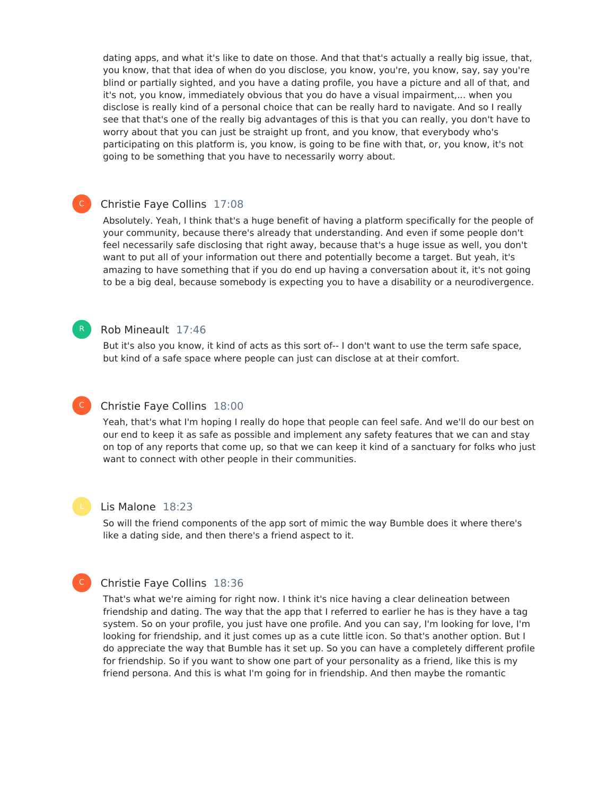dating apps, and what it's like to date on those. And that that's actually a really big issue, that, you know, that that idea of when do you disclose, you know, you're, you know, say, say you're blind or partially sighted, and you have a dating profile, you have a picture and all of that, and it's not, you know, immediately obvious that you do have a visual impairment,... when you disclose is really kind of a personal choice that can be really hard to navigate. And so I really see that that's one of the really big advantages of this is that you can really, you don't have to worry about that you can just be straight up front, and you know, that everybody who's participating on this platform is, you know, is going to be fine with that, or, you know, it's not going to be something that you have to necessarily worry about.

# Christie Faye Collins 17:08

Absolutely. Yeah, I think that's a huge benefit of having a platform specifically for the people of your community, because there's already that understanding. And even if some people don't feel necessarily safe disclosing that right away, because that's a huge issue as well, you don't want to put all of your information out there and potentially become a target. But yeah, it's amazing to have something that if you do end up having a conversation about it, it's not going to be a big deal, because somebody is expecting you to have a disability or a neurodivergence.

### Rob Mineault 17:46

But it's also you know, it kind of acts as this sort of-- I don't want to use the term safe space, but kind of a safe space where people can just can disclose at at their comfort.

#### Christie Faye Collins 18:00  $\mathsf{C}^-$

Yeah, that's what I'm hoping I really do hope that people can feel safe. And we'll do our best on our end to keep it as safe as possible and implement any safety features that we can and stay on top of any reports that come up, so that we can keep it kind of a sanctuary for folks who just want to connect with other people in their communities.



C

 $\mathsf{C}^-$ 

R

#### Lis Malone 18:23

So will the friend components of the app sort of mimic the way Bumble does it where there's like a dating side, and then there's a friend aspect to it.

#### Christie Faye Collins 18:36

That's what we're aiming for right now. I think it's nice having a clear delineation between friendship and dating. The way that the app that I referred to earlier he has is they have a tag system. So on your profile, you just have one profile. And you can say, I'm looking for love, I'm looking for friendship, and it just comes up as a cute little icon. So that's another option. But I do appreciate the way that Bumble has it set up. So you can have a completely different profile for friendship. So if you want to show one part of your personality as a friend, like this is my friend persona. And this is what I'm going for in friendship. And then maybe the romantic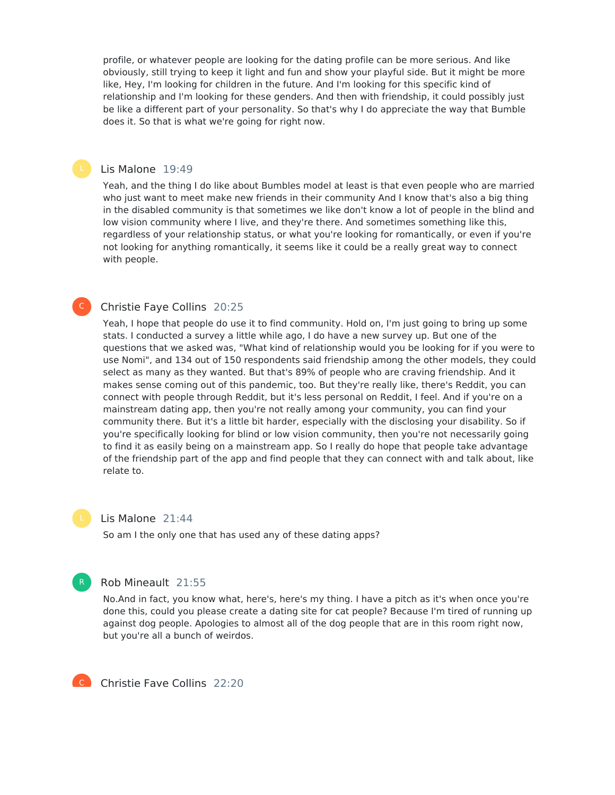profile, or whatever people are looking for the dating profile can be more serious. And like obviously, still trying to keep it light and fun and show your playful side. But it might be more like, Hey, I'm looking for children in the future. And I'm looking for this specific kind of relationship and I'm looking for these genders. And then with friendship, it could possibly just be like a different part of your personality. So that's why I do appreciate the way that Bumble does it. So that is what we're going for right now.

#### Lis Malone 19:49

Yeah, and the thing I do like about Bumbles model at least is that even people who are married who just want to meet make new friends in their community And I know that's also a big thing in the disabled community is that sometimes we like don't know a lot of people in the blind and low vision community where I live, and they're there. And sometimes something like this, regardless of your relationship status, or what you're looking for romantically, or even if you're not looking for anything romantically, it seems like it could be a really great way to connect with people.

### Christie Faye Collins 20:25

Yeah, I hope that people do use it to find community. Hold on, I'm just going to bring up some stats. I conducted a survey a little while ago, I do have a new survey up. But one of the questions that we asked was, "What kind of relationship would you be looking for if you were to use Nomi", and 134 out of 150 respondents said friendship among the other models, they could select as many as they wanted. But that's 89% of people who are craving friendship. And it makes sense coming out of this pandemic, too. But they're really like, there's Reddit, you can connect with people through Reddit, but it's less personal on Reddit, I feel. And if you're on a mainstream dating app, then you're not really among your community, you can find your community there. But it's a little bit harder, especially with the disclosing your disability. So if you're specifically looking for blind or low vision community, then you're not necessarily going to find it as easily being on a mainstream app. So I really do hope that people take advantage of the friendship part of the app and find people that they can connect with and talk about, like relate to.

#### Lis Malone 21:44

So am I the only one that has used any of these dating apps?



 $\mathsf{C}^-$ 

#### Rob Mineault 21:55

No.And in fact, you know what, here's, here's my thing. I have a pitch as it's when once you're done this, could you please create a dating site for cat people? Because I'm tired of running up against dog people. Apologies to almost all of the dog people that are in this room right now, but you're all a bunch of weirdos.



Christie Faye Collins 22:20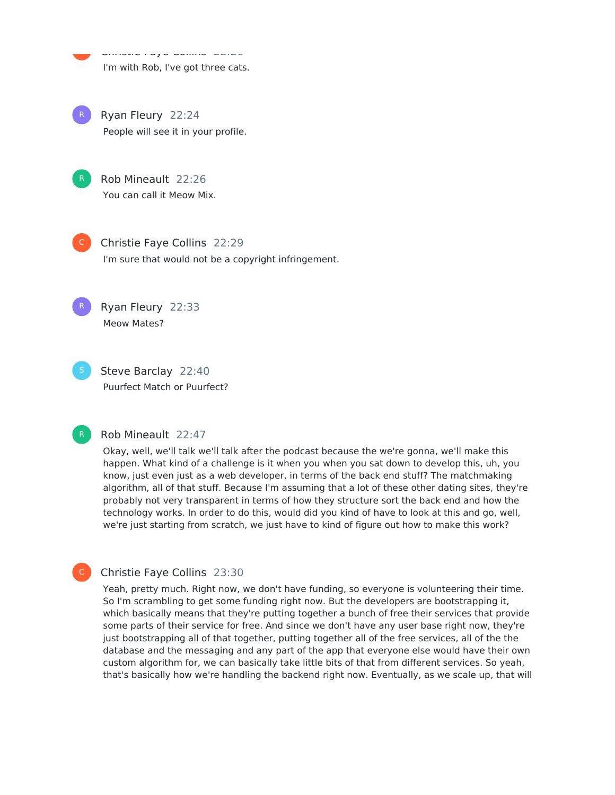Christie Faye Collins 22:20 I'm with Rob, I've got three cats.

Ryan Fleury 22:24 People will see it in your profile. R



e<br>C

Rob Mineault 22:26 You can call it Meow Mix.



R

Christie Faye Collins 22:29 I'm sure that would not be a copyright infringement.

Ryan Fleury 22:33 Meow Mates?

Steve Barclay 22:40 Puurfect Match or Puurfect?



C

#### Rob Mineault 22:47

Okay, well, we'll talk we'll talk after the podcast because the we're gonna, we'll make this happen. What kind of a challenge is it when you when you sat down to develop this, uh, you know, just even just as a web developer, in terms of the back end stuff? The matchmaking algorithm, all of that stuff. Because I'm assuming that a lot of these other dating sites, they're probably not very transparent in terms of how they structure sort the back end and how the technology works. In order to do this, would did you kind of have to look at this and go, well, we're just starting from scratch, we just have to kind of figure out how to make this work?

### Christie Faye Collins 23:30

Yeah, pretty much. Right now, we don't have funding, so everyone is volunteering their time. So I'm scrambling to get some funding right now. But the developers are bootstrapping it, which basically means that they're putting together a bunch of free their services that provide some parts of their service for free. And since we don't have any user base right now, they're just bootstrapping all of that together, putting together all of the free services, all of the the database and the messaging and any part of the app that everyone else would have their own custom algorithm for, we can basically take little bits of that from different services. So yeah, that's basically how we're handling the backend right now. Eventually, as we scale up, that will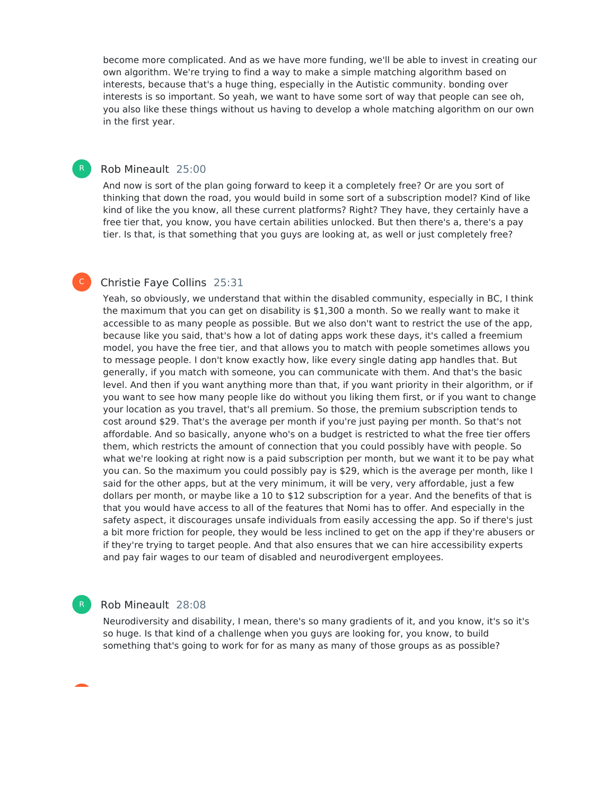become more complicated. And as we have more funding, we'll be able to invest in creating our own algorithm. We're trying to find a way to make a simple matching algorithm based on interests, because that's a huge thing, especially in the Autistic community. bonding over interests is so important. So yeah, we want to have some sort of way that people can see oh, you also like these things without us having to develop a whole matching algorithm on our own in the first year.

#### Rob Mineault 25:00

R

 $\mathsf{C}^-$ 

And now is sort of the plan going forward to keep it a completely free? Or are you sort of thinking that down the road, you would build in some sort of a subscription model? Kind of like kind of like the you know, all these current platforms? Right? They have, they certainly have a free tier that, you know, you have certain abilities unlocked. But then there's a, there's a pay tier. Is that, is that something that you guys are looking at, as well or just completely free?

#### Christie Faye Collins 25:31

Yeah, so obviously, we understand that within the disabled community, especially in BC, I think the maximum that you can get on disability is \$1,300 a month. So we really want to make it accessible to as many people as possible. But we also don't want to restrict the use of the app, because like you said, that's how a lot of dating apps work these days, it's called a freemium model, you have the free tier, and that allows you to match with people sometimes allows you to message people. I don't know exactly how, like every single dating app handles that. But generally, if you match with someone, you can communicate with them. And that's the basic level. And then if you want anything more than that, if you want priority in their algorithm, or if you want to see how many people like do without you liking them first, or if you want to change your location as you travel, that's all premium. So those, the premium subscription tends to cost around \$29. That's the average per month if you're just paying per month. So that's not affordable. And so basically, anyone who's on a budget is restricted to what the free tier offers them, which restricts the amount of connection that you could possibly have with people. So what we're looking at right now is a paid subscription per month, but we want it to be pay what you can. So the maximum you could possibly pay is \$29, which is the average per month, like I said for the other apps, but at the very minimum, it will be very, very affordable, just a few dollars per month, or maybe like a 10 to \$12 subscription for a year. And the benefits of that is that you would have access to all of the features that Nomi has to offer. And especially in the safety aspect, it discourages unsafe individuals from easily accessing the app. So if there's just a bit more friction for people, they would be less inclined to get on the app if they're abusers or if they're trying to target people. And that also ensures that we can hire accessibility experts and pay fair wages to our team of disabled and neurodivergent employees.

#### Rob Mineault 28:08

R

Neurodiversity and disability, I mean, there's so many gradients of it, and you know, it's so it's so huge. Is that kind of a challenge when you guys are looking for, you know, to build something that's going to work for for as many as many of those groups as as possible?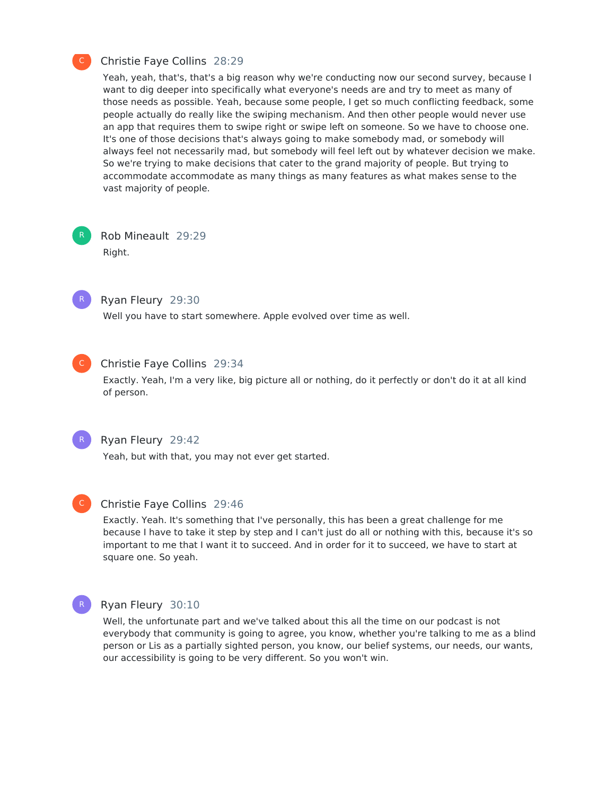#### Christie Faye Collins 28:29

Yeah, yeah, that's, that's a big reason why we're conducting now our second survey, because I want to dig deeper into specifically what everyone's needs are and try to meet as many of those needs as possible. Yeah, because some people, I get so much conflicting feedback, some people actually do really like the swiping mechanism. And then other people would never use an app that requires them to swipe right or swipe left on someone. So we have to choose one. It's one of those decisions that's always going to make somebody mad, or somebody will always feel not necessarily mad, but somebody will feel left out by whatever decision we make. So we're trying to make decisions that cater to the grand majority of people. But trying to accommodate accommodate as many things as many features as what makes sense to the vast majority of people.

Rob Mineault 29:29 Right. R



# Ryan Fleury 29:30

Well you have to start somewhere. Apple evolved over time as well.



### Christie Faye Collins 29:34

Exactly. Yeah, I'm a very like, big picture all or nothing, do it perfectly or don't do it at all kind of person.



#### Ryan Fleury 29:42

Yeah, but with that, you may not ever get started.



#### Christie Faye Collins 29:46

Exactly. Yeah. It's something that I've personally, this has been a great challenge for me because I have to take it step by step and I can't just do all or nothing with this, because it's so important to me that I want it to succeed. And in order for it to succeed, we have to start at square one. So yeah.



#### Ryan Fleury 30:10

Well, the unfortunate part and we've talked about this all the time on our podcast is not everybody that community is going to agree, you know, whether you're talking to me as a blind person or Lis as a partially sighted person, you know, our belief systems, our needs, our wants, our accessibility is going to be very different. So you won't win.

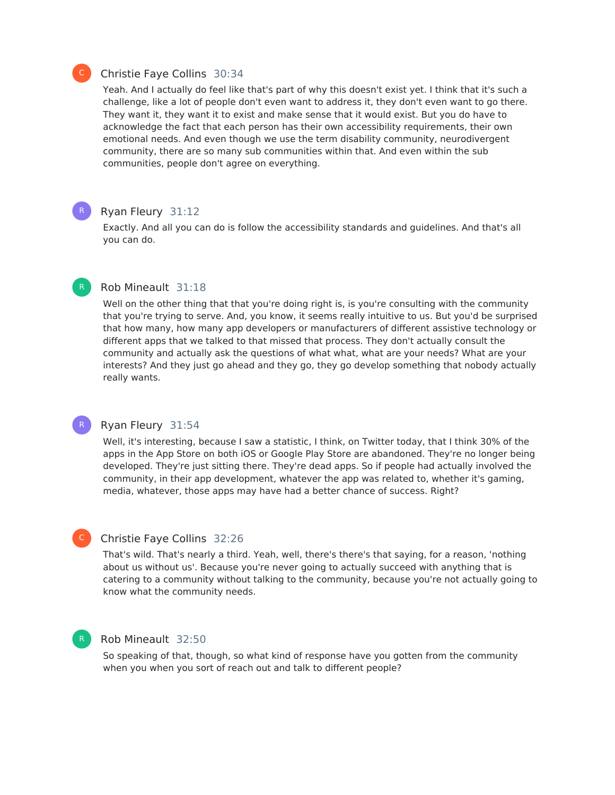

R

# Christie Faye Collins 30:34

Yeah. And I actually do feel like that's part of why this doesn't exist yet. I think that it's such a challenge, like a lot of people don't even want to address it, they don't even want to go there. They want it, they want it to exist and make sense that it would exist. But you do have to acknowledge the fact that each person has their own accessibility requirements, their own emotional needs. And even though we use the term disability community, neurodivergent community, there are so many sub communities within that. And even within the sub communities, people don't agree on everything.

#### Ryan Fleury 31:12

Exactly. And all you can do is follow the accessibility standards and guidelines. And that's all you can do.

### Rob Mineault 31:18

Well on the other thing that that you're doing right is, is you're consulting with the community that you're trying to serve. And, you know, it seems really intuitive to us. But you'd be surprised that how many, how many app developers or manufacturers of different assistive technology or different apps that we talked to that missed that process. They don't actually consult the community and actually ask the questions of what what, what are your needs? What are your interests? And they just go ahead and they go, they go develop something that nobody actually really wants.

#### Ryan Fleury 31:54 R

Well, it's interesting, because I saw a statistic, I think, on Twitter today, that I think 30% of the apps in the App Store on both iOS or Google Play Store are abandoned. They're no longer being developed. They're just sitting there. They're dead apps. So if people had actually involved the community, in their app development, whatever the app was related to, whether it's gaming, media, whatever, those apps may have had a better chance of success. Right?

#### Christie Faye Collins 32:26

That's wild. That's nearly a third. Yeah, well, there's there's that saying, for a reason, 'nothing about us without us'. Because you're never going to actually succeed with anything that is catering to a community without talking to the community, because you're not actually going to know what the community needs.

#### R

 $\mathsf{C}^-$ 

# Rob Mineault 32:50

So speaking of that, though, so what kind of response have you gotten from the community when you when you sort of reach out and talk to different people?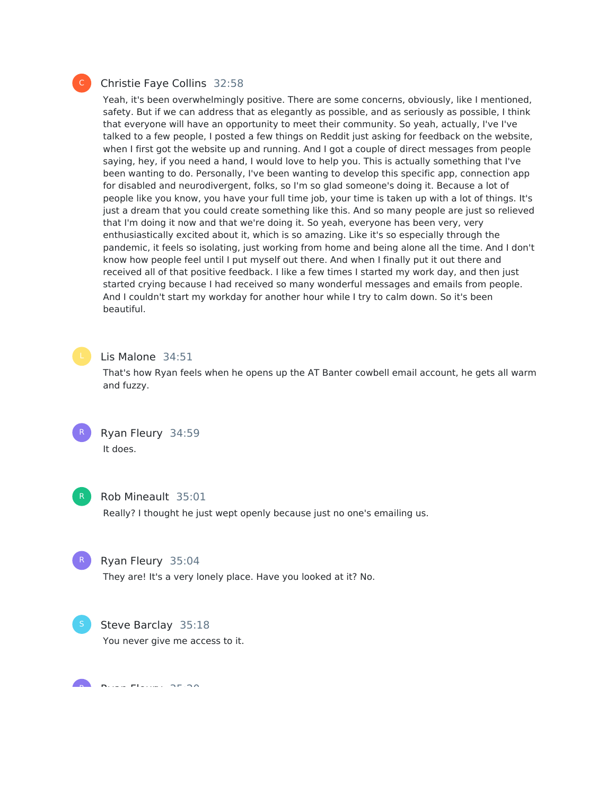### Christie Faye Collins 32:58

Yeah, it's been overwhelmingly positive. There are some concerns, obviously, like I mentioned, safety. But if we can address that as elegantly as possible, and as seriously as possible, I think that everyone will have an opportunity to meet their community. So yeah, actually, I've I've talked to a few people, I posted a few things on Reddit just asking for feedback on the website, when I first got the website up and running. And I got a couple of direct messages from people saying, hey, if you need a hand, I would love to help you. This is actually something that I've been wanting to do. Personally, I've been wanting to develop this specific app, connection app for disabled and neurodivergent, folks, so I'm so glad someone's doing it. Because a lot of people like you know, you have your full time job, your time is taken up with a lot of things. It's just a dream that you could create something like this. And so many people are just so relieved that I'm doing it now and that we're doing it. So yeah, everyone has been very, very enthusiastically excited about it, which is so amazing. Like it's so especially through the pandemic, it feels so isolating, just working from home and being alone all the time. And I don't know how people feel until I put myself out there. And when I finally put it out there and received all of that positive feedback. I like a few times I started my work day, and then just started crying because I had received so many wonderful messages and emails from people. And I couldn't start my workday for another hour while I try to calm down. So it's been beautiful.



#### Lis Malone 34:51

That's how Ryan feels when he opens up the AT Banter cowbell email account, he gets all warm and fuzzy.





#### Rob Mineault 35:01

Really? I thought he just wept openly because just no one's emailing us.



## Ryan Fleury 35:04

They are! It's a very lonely place. Have you looked at it? No.



Steve Barclay 35:18 You never give me access to it.

Ryan Fleury 35:20 R

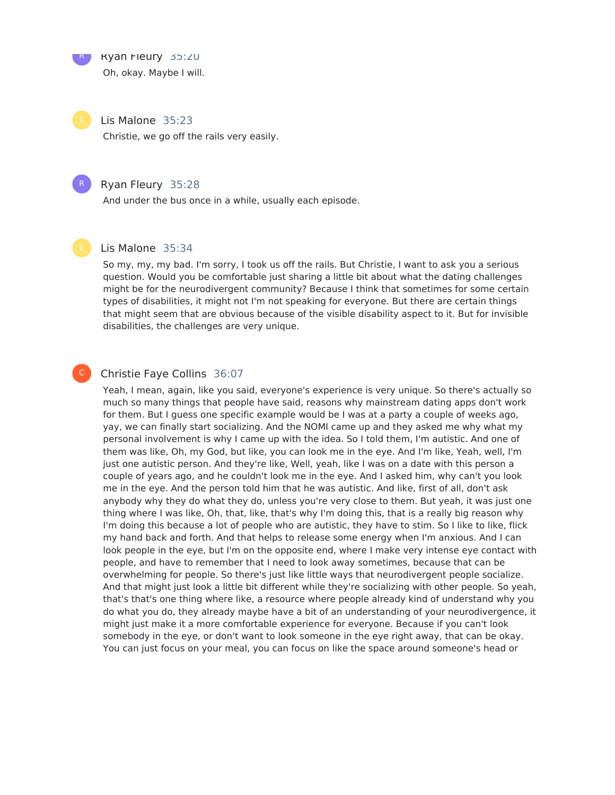Ryan Fleury 35:20

R

Oh, okay. Maybe I will.

Lis Malone 35:23

Christie, we go off the rails very easily.

### Ryan Fleury 35:28

And under the bus once in a while, usually each episode.

#### Lis Malone 35:34

So my, my, my bad. I'm sorry, I took us off the rails. But Christie, I want to ask you a serious question. Would you be comfortable just sharing a little bit about what the dating challenges might be for the neurodivergent community? Because I think that sometimes for some certain types of disabilities, it might not I'm not speaking for everyone. But there are certain things that might seem that are obvious because of the visible disability aspect to it. But for invisible disabilities, the challenges are very unique.

# C

#### Christie Faye Collins 36:07

Yeah, I mean, again, like you said, everyone's experience is very unique. So there's actually so much so many things that people have said, reasons why mainstream dating apps don't work for them. But I guess one specific example would be I was at a party a couple of weeks ago, yay, we can finally start socializing. And the NOMI came up and they asked me why what my personal involvement is why I came up with the idea. So I told them, I'm autistic. And one of them was like, Oh, my God, but like, you can look me in the eye. And I'm like, Yeah, well, I'm just one autistic person. And they're like, Well, yeah, like I was on a date with this person a couple of years ago, and he couldn't look me in the eye. And I asked him, why can't you look me in the eye. And the person told him that he was autistic. And like, first of all, don't ask anybody why they do what they do, unless you're very close to them. But yeah, it was just one thing where I was like, Oh, that, like, that's why I'm doing this, that is a really big reason why I'm doing this because a lot of people who are autistic, they have to stim. So I like to like, flick my hand back and forth. And that helps to release some energy when I'm anxious. And I can look people in the eye, but I'm on the opposite end, where I make very intense eye contact with people, and have to remember that I need to look away sometimes, because that can be overwhelming for people. So there's just like little ways that neurodivergent people socialize. And that might just look a little bit different while they're socializing with other people. So yeah, that's that's one thing where like, a resource where people already kind of understand why you do what you do, they already maybe have a bit of an understanding of your neurodivergence, it might just make it a more comfortable experience for everyone. Because if you can't look somebody in the eye, or don't want to look someone in the eye right away, that can be okay. You can just focus on your meal, you can focus on like the space around someone's head or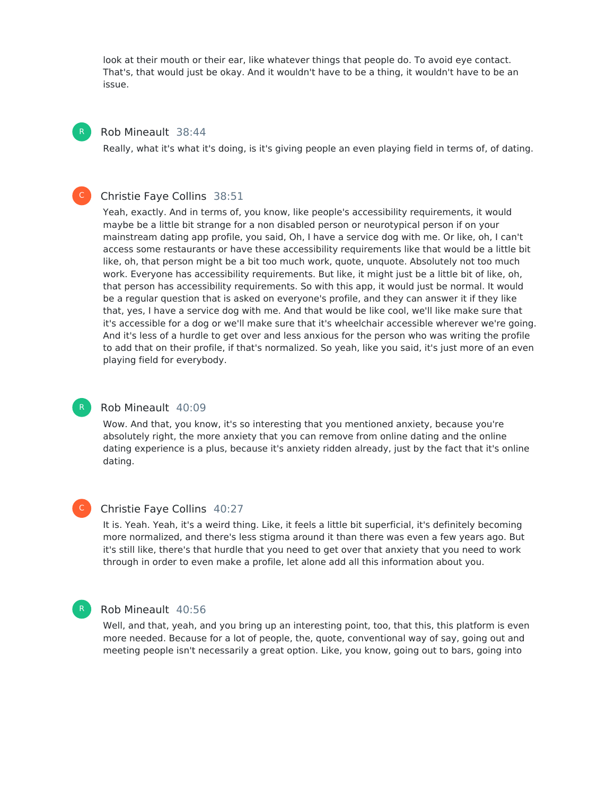look at their mouth or their ear, like whatever things that people do. To avoid eye contact. That's, that would just be okay. And it wouldn't have to be a thing, it wouldn't have to be an issue.

#### Rob Mineault 38:44

R

 $\mathsf{C}^-$ 

R

 $\mathsf{C}^-$ 

Really, what it's what it's doing, is it's giving people an even playing field in terms of, of dating.

#### Christie Faye Collins 38:51

Yeah, exactly. And in terms of, you know, like people's accessibility requirements, it would maybe be a little bit strange for a non disabled person or neurotypical person if on your mainstream dating app profile, you said, Oh, I have a service dog with me. Or like, oh, I can't access some restaurants or have these accessibility requirements like that would be a little bit like, oh, that person might be a bit too much work, quote, unquote. Absolutely not too much work. Everyone has accessibility requirements. But like, it might just be a little bit of like, oh, that person has accessibility requirements. So with this app, it would just be normal. It would be a regular question that is asked on everyone's profile, and they can answer it if they like that, yes, I have a service dog with me. And that would be like cool, we'll like make sure that it's accessible for a dog or we'll make sure that it's wheelchair accessible wherever we're going. And it's less of a hurdle to get over and less anxious for the person who was writing the profile to add that on their profile, if that's normalized. So yeah, like you said, it's just more of an even playing field for everybody.

#### Rob Mineault 40:09

Wow. And that, you know, it's so interesting that you mentioned anxiety, because you're absolutely right, the more anxiety that you can remove from online dating and the online dating experience is a plus, because it's anxiety ridden already, just by the fact that it's online dating.

#### Christie Faye Collins 40:27

It is. Yeah. Yeah, it's a weird thing. Like, it feels a little bit superficial, it's definitely becoming more normalized, and there's less stigma around it than there was even a few years ago. But it's still like, there's that hurdle that you need to get over that anxiety that you need to work through in order to even make a profile, let alone add all this information about you.



#### Rob Mineault 40:56

Well, and that, yeah, and you bring up an interesting point, too, that this, this platform is even more needed. Because for a lot of people, the, quote, conventional way of say, going out and meeting people isn't necessarily a great option. Like, you know, going out to bars, going into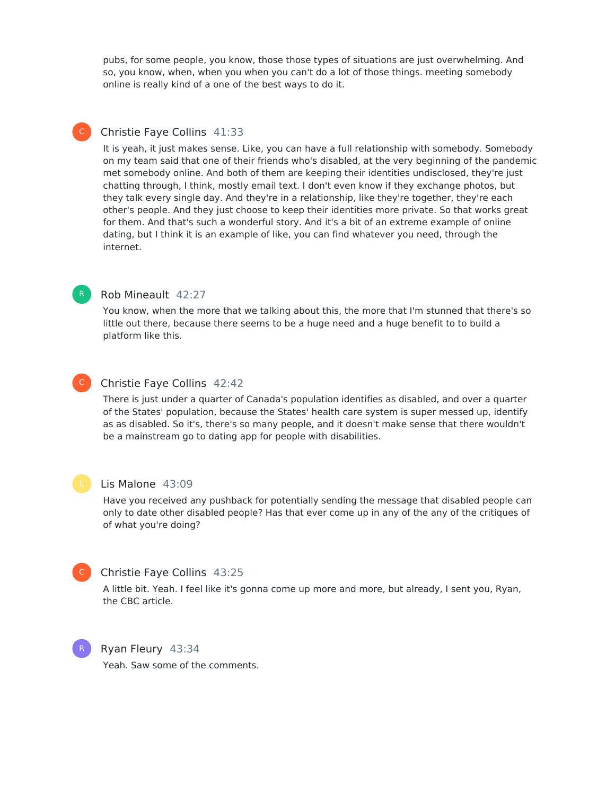pubs, for some people, you know, those those types of situations are just overwhelming. And so, you know, when, when you when you can't do a lot of those things. meeting somebody online is really kind of a one of the best ways to do it.

# Christie Faye Collins 41:33

It is yeah, it just makes sense. Like, you can have a full relationship with somebody. Somebody on my team said that one of their friends who's disabled, at the very beginning of the pandemic met somebody online. And both of them are keeping their identities undisclosed, they're just chatting through, I think, mostly email text. I don't even know if they exchange photos, but they talk every single day. And they're in a relationship, like they're together, they're each other's people. And they just choose to keep their identities more private. So that works great for them. And that's such a wonderful story. And it's a bit of an extreme example of online dating, but I think it is an example of like, you can find whatever you need, through the internet.



 $\mathsf{C}^-$ 

#### Rob Mineault 42:27

You know, when the more that we talking about this, the more that I'm stunned that there's so little out there, because there seems to be a huge need and a huge benefit to to build a platform like this.



#### Christie Faye Collins 42:42

There is just under a quarter of Canada's population identifies as disabled, and over a quarter of the States' population, because the States' health care system is super messed up, identify as as disabled. So it's, there's so many people, and it doesn't make sense that there wouldn't be a mainstream go to dating app for people with disabilities.



#### Lis Malone 43:09

Have you received any pushback for potentially sending the message that disabled people can only to date other disabled people? Has that ever come up in any of the any of the critiques of of what you're doing?



R

#### Christie Faye Collins 43:25

A little bit. Yeah. I feel like it's gonna come up more and more, but already, I sent you, Ryan, the CBC article.

Ryan Fleury 43:34 Yeah. Saw some of the comments.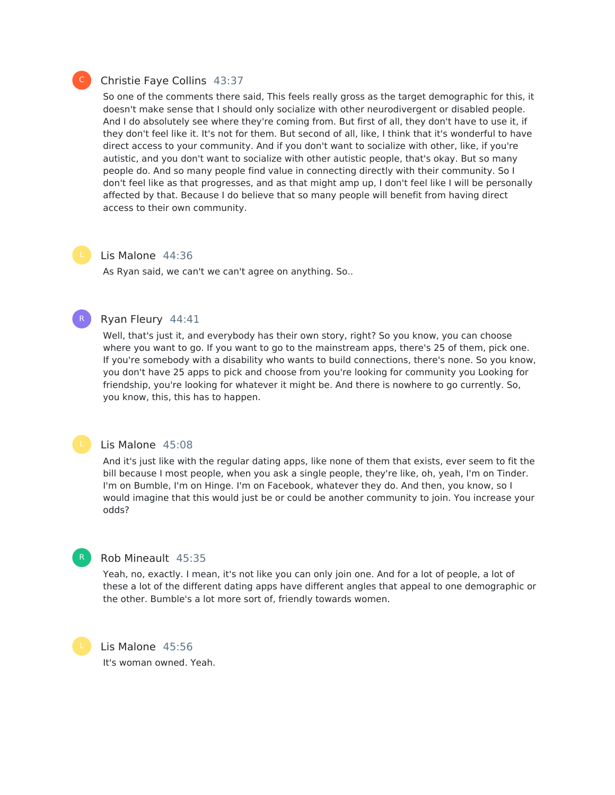#### Christie Faye Collins 43:37

So one of the comments there said, This feels really gross as the target demographic for this, it doesn't make sense that I should only socialize with other neurodivergent or disabled people. And I do absolutely see where they're coming from. But first of all, they don't have to use it, if they don't feel like it. It's not for them. But second of all, like, I think that it's wonderful to have direct access to your community. And if you don't want to socialize with other, like, if you're autistic, and you don't want to socialize with other autistic people, that's okay. But so many people do. And so many people find value in connecting directly with their community. So I don't feel like as that progresses, and as that might amp up, I don't feel like I will be personally affected by that. Because I do believe that so many people will benefit from having direct access to their own community.

#### Lis Malone 44:36

As Ryan said, we can't we can't agree on anything. So..

# R

#### Ryan Fleury 44:41

Well, that's just it, and everybody has their own story, right? So you know, you can choose where you want to go. If you want to go to the mainstream apps, there's 25 of them, pick one. If you're somebody with a disability who wants to build connections, there's none. So you know, you don't have 25 apps to pick and choose from you're looking for community you Looking for friendship, you're looking for whatever it might be. And there is nowhere to go currently. So, you know, this, this has to happen.

#### Lis Malone 45:08

And it's just like with the regular dating apps, like none of them that exists, ever seem to fit the bill because I most people, when you ask a single people, they're like, oh, yeah, I'm on Tinder. I'm on Bumble, I'm on Hinge. I'm on Facebook, whatever they do. And then, you know, so I would imagine that this would just be or could be another community to join. You increase your odds?

# Rob Mineault 45:35

Yeah, no, exactly. I mean, it's not like you can only join one. And for a lot of people, a lot of these a lot of the different dating apps have different angles that appeal to one demographic or the other. Bumble's a lot more sort of, friendly towards women.

Lis Malone 45:56 It's woman owned. Yeah.

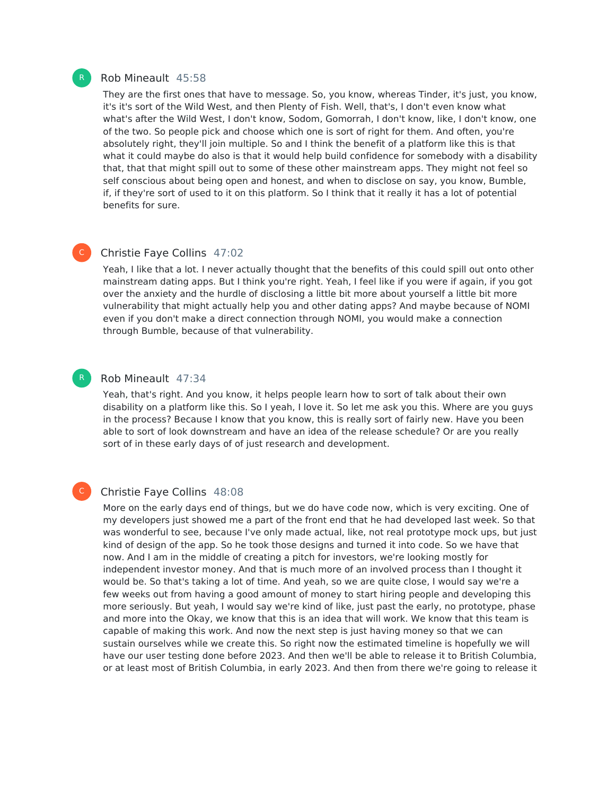#### Rob Mineault 45:58

They are the first ones that have to message. So, you know, whereas Tinder, it's just, you know, it's it's sort of the Wild West, and then Plenty of Fish. Well, that's, I don't even know what what's after the Wild West, I don't know, Sodom, Gomorrah, I don't know, like, I don't know, one of the two. So people pick and choose which one is sort of right for them. And often, you're absolutely right, they'll join multiple. So and I think the benefit of a platform like this is that what it could maybe do also is that it would help build confidence for somebody with a disability that, that that might spill out to some of these other mainstream apps. They might not feel so self conscious about being open and honest, and when to disclose on say, you know, Bumble, if, if they're sort of used to it on this platform. So I think that it really it has a lot of potential benefits for sure.

#### Christie Faye Collins 47:02

Yeah, I like that a lot. I never actually thought that the benefits of this could spill out onto other mainstream dating apps. But I think you're right. Yeah, I feel like if you were if again, if you got over the anxiety and the hurdle of disclosing a little bit more about yourself a little bit more vulnerability that might actually help you and other dating apps? And maybe because of NOMI even if you don't make a direct connection through NOMI, you would make a connection through Bumble, because of that vulnerability.

#### Rob Mineault 47:34

Yeah, that's right. And you know, it helps people learn how to sort of talk about their own disability on a platform like this. So I yeah, I love it. So let me ask you this. Where are you guys in the process? Because I know that you know, this is really sort of fairly new. Have you been able to sort of look downstream and have an idea of the release schedule? Or are you really sort of in these early days of of just research and development.

#### C

#### Christie Faye Collins 48:08

More on the early days end of things, but we do have code now, which is very exciting. One of my developers just showed me a part of the front end that he had developed last week. So that was wonderful to see, because I've only made actual, like, not real prototype mock ups, but just kind of design of the app. So he took those designs and turned it into code. So we have that now. And I am in the middle of creating a pitch for investors, we're looking mostly for independent investor money. And that is much more of an involved process than I thought it would be. So that's taking a lot of time. And yeah, so we are quite close, I would say we're a few weeks out from having a good amount of money to start hiring people and developing this more seriously. But yeah, I would say we're kind of like, just past the early, no prototype, phase and more into the Okay, we know that this is an idea that will work. We know that this team is capable of making this work. And now the next step is just having money so that we can sustain ourselves while we create this. So right now the estimated timeline is hopefully we will have our user testing done before 2023. And then we'll be able to release it to British Columbia, or at least most of British Columbia, in early 2023. And then from there we're going to release it



 $\mathsf{C}^-$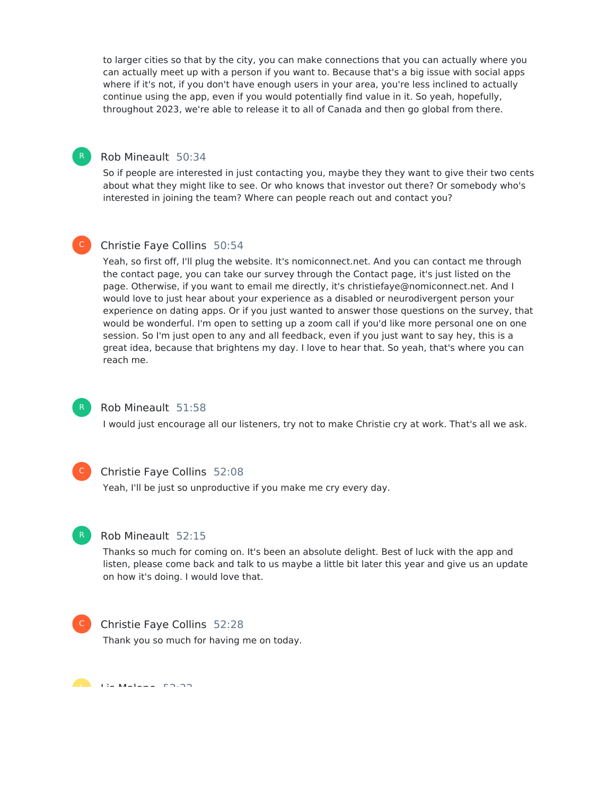to larger cities so that by the city, you can make connections that you can actually where you can actually meet up with a person if you want to. Because that's a big issue with social apps where if it's not, if you don't have enough users in your area, you're less inclined to actually continue using the app, even if you would potentially find value in it. So yeah, hopefully, throughout 2023, we're able to release it to all of Canada and then go global from there.

# Rob Mineault 50:34

So if people are interested in just contacting you, maybe they they want to give their two cents about what they might like to see. Or who knows that investor out there? Or somebody who's interested in joining the team? Where can people reach out and contact you?

#### Christie Faye Collins 50:54  $\mathsf{C}^-$

Yeah, so first off, I'll plug the website. It's nomiconnect.net. And you can contact me through the contact page, you can take our survey through the Contact page, it's just listed on the page. Otherwise, if you want to email me directly, it's christiefaye@nomiconnect.net. And I would love to just hear about your experience as a disabled or neurodivergent person your experience on dating apps. Or if you just wanted to answer those questions on the survey, that would be wonderful. I'm open to setting up a zoom call if you'd like more personal one on one session. So I'm just open to any and all feedback, even if you just want to say hey, this is a great idea, because that brightens my day. I love to hear that. So yeah, that's where you can reach me.

# R

#### Rob Mineault 51:58

I would just encourage all our listeners, try not to make Christie cry at work. That's all we ask.

# $\mathsf{C}^-$

#### Christie Faye Collins 52:08

Yeah, I'll be just so unproductive if you make me cry every day.



#### Rob Mineault 52:15

Thanks so much for coming on. It's been an absolute delight. Best of luck with the app and listen, please come back and talk to us maybe a little bit later this year and give us an update on how it's doing. I would love that.



#### Christie Faye Collins 52:28

Thank you so much for having me on today.

Lis Malone 52.32.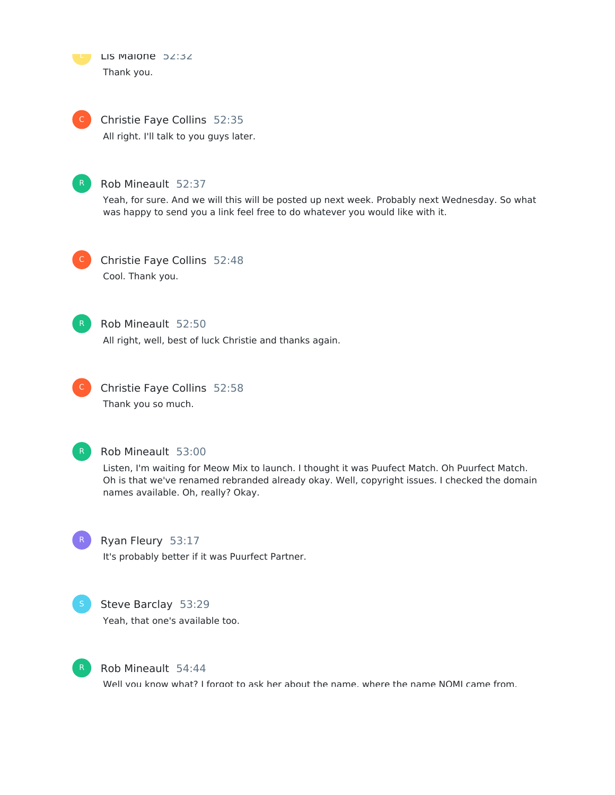

Christie Faye Collins 52:35 All right. I'll talk to you guys later.  $\mathsf{C}^-$ 



#### Rob Mineault 52:37

Yeah, for sure. And we will this will be posted up next week. Probably next Wednesday. So what was happy to send you a link feel free to do whatever you would like with it.



Christie Faye Collins 52:48 Cool. Thank you.



# Rob Mineault 52:50

All right, well, best of luck Christie and thanks again.



Christie Faye Collins 52:58 Thank you so much.



#### Rob Mineault 53:00

Listen, I'm waiting for Meow Mix to launch. I thought it was Puufect Match. Oh Puurfect Match. Oh is that we've renamed rebranded already okay. Well, copyright issues. I checked the domain names available. Oh, really? Okay.



#### Ryan Fleury 53:17

It's probably better if it was Puurfect Partner.



#### Steve Barclay 53:29

Yeah, that one's available too.



#### Rob Mineault 54:44

Well you know what? I forgot to ask her about the name, where the name NOMI came from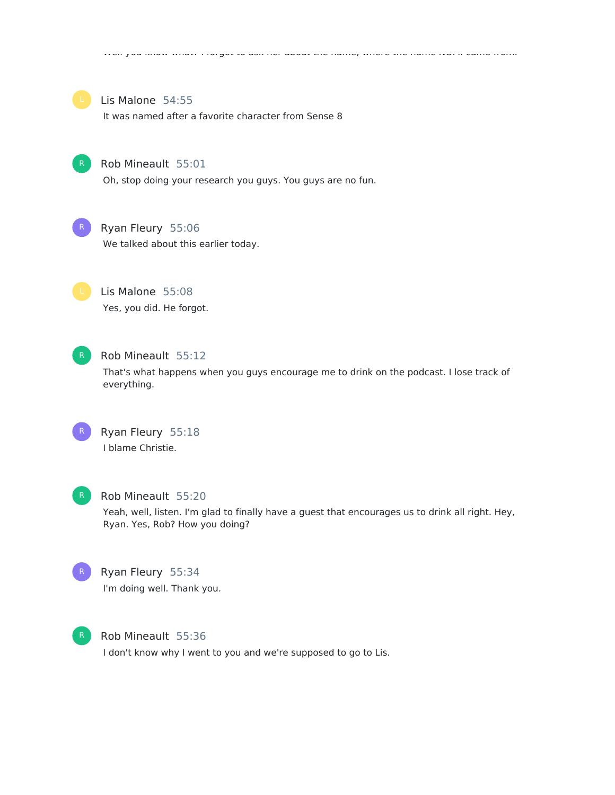

#### Lis Malone 54:55

It was named after a favorite character from Sense 8



## Rob Mineault 55:01

Oh, stop doing your research you guys. You guys are no fun.



### Ryan Fleury 55:06

We talked about this earlier today.



Lis Malone 55:08 Yes, you did. He forgot.



# Rob Mineault 55:12

That's what happens when you guys encourage me to drink on the podcast. I lose track of everything.



Ryan Fleury 55:18 I blame Christie.



#### Rob Mineault 55:20

Yeah, well, listen. I'm glad to finally have a guest that encourages us to drink all right. Hey, Ryan. Yes, Rob? How you doing?



# Ryan Fleury 55:34 I'm doing well. Thank you.



#### Rob Mineault 55:36

I don't know why I went to you and we're supposed to go to Lis.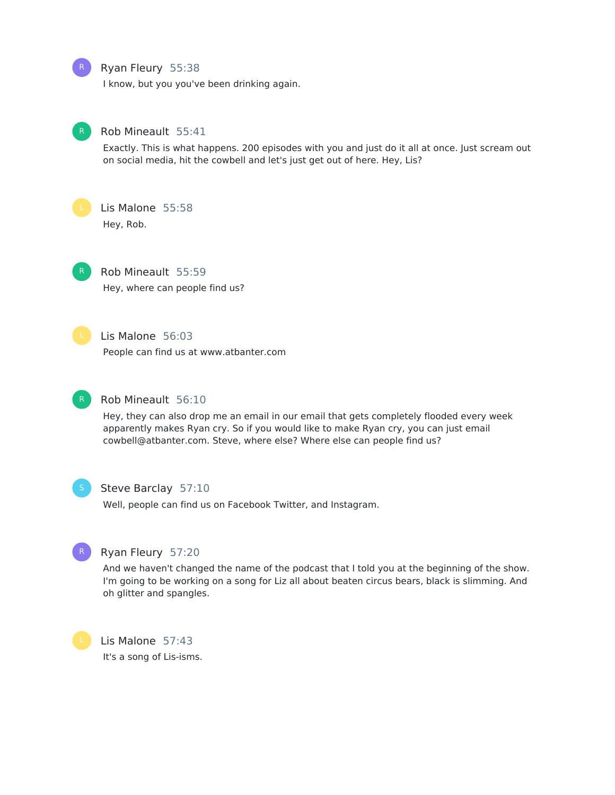Ryan Fleury 55:38

I know, but you you've been drinking again.



R

#### Rob Mineault 55:41

Exactly. This is what happens. 200 episodes with you and just do it all at once. Just scream out on social media, hit the cowbell and let's just get out of here. Hey, Lis?



# Lis Malone 55:58

Hey, Rob.



Rob Mineault 55:59 Hey, where can people find us?



#### Lis Malone 56:03

People can find us at www.atbanter.com



# Rob Mineault 56:10

Hey, they can also drop me an email in our email that gets completely flooded every week apparently makes Ryan cry. So if you would like to make Ryan cry, you can just email cowbell@atbanter.com. Steve, where else? Where else can people find us?



#### Steve Barclay 57:10

Well, people can find us on Facebook Twitter, and Instagram.



# Ryan Fleury 57:20

And we haven't changed the name of the podcast that I told you at the beginning of the show. I'm going to be working on a song for Liz all about beaten circus bears, black is slimming. And oh glitter and spangles.



Lis Malone 57:43 It's a song of Lis-isms.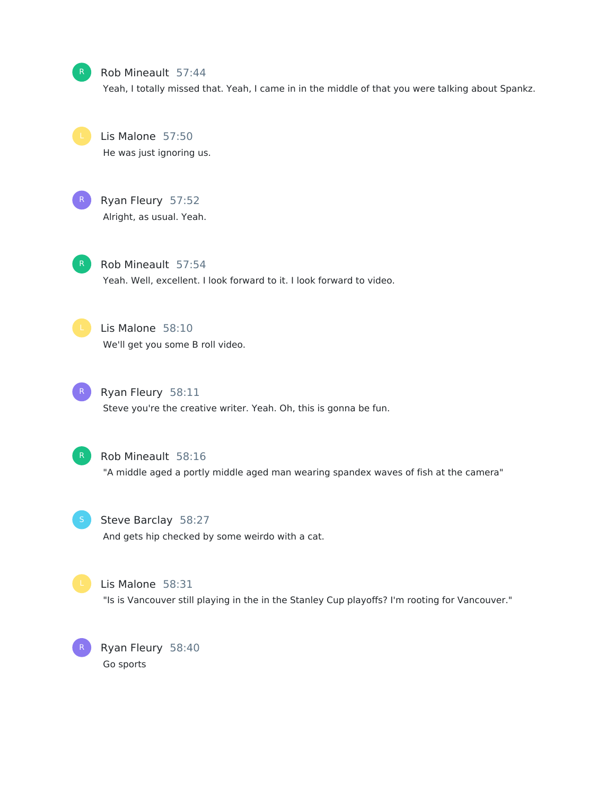Rob Mineault 57:44

Yeah, I totally missed that. Yeah, I came in in the middle of that you were talking about Spankz.

Lis Malone 57:50 He was just ignoring us.



# R Ryan Fleury 57:52 Alright, as usual. Yeah.

Rob Mineault 57:54 Yeah. Well, excellent. I look forward to it. I look forward to video.

Lis Malone 58:10 We'll get you some B roll video.

Ryan Fleury 58:11 Steve you're the creative writer. Yeah. Oh, this is gonna be fun.



Rob Mineault 58:16

"A middle aged a portly middle aged man wearing spandex waves of fish at the camera"

Steve Barclay 58:27 And gets hip checked by some weirdo with a cat.



R

Lis Malone 58:31 "Is is Vancouver still playing in the in the Stanley Cup playoffs? I'm rooting for Vancouver."

Ryan Fleury 58:40 Go sports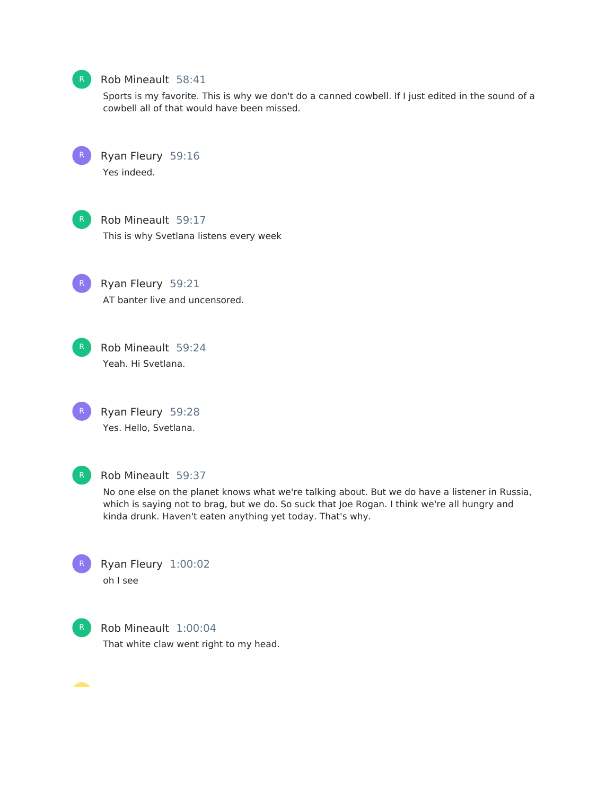

#### Rob Mineault 58:41

Sports is my favorite. This is why we don't do a canned cowbell. If I just edited in the sound of a cowbell all of that would have been missed.



Ryan Fleury 59:16 Yes indeed.



#### Rob Mineault 59:17

This is why Svetlana listens every week

R Ryan Fleury 59:21 AT banter live and uncensored.



R Rob Mineault 59:24 Yeah. Hi Svetlana.



R Ryan Fleury 59:28 Yes. Hello, Svetlana.



#### R Rob Mineault 59:37

No one else on the planet knows what we're talking about. But we do have a listener in Russia, which is saying not to brag, but we do. So suck that Joe Rogan. I think we're all hungry and kinda drunk. Haven't eaten anything yet today. That's why.



Ryan Fleury 1:00:02 oh I see



R Rob Mineault 1:00:04 That white claw went right to my head.